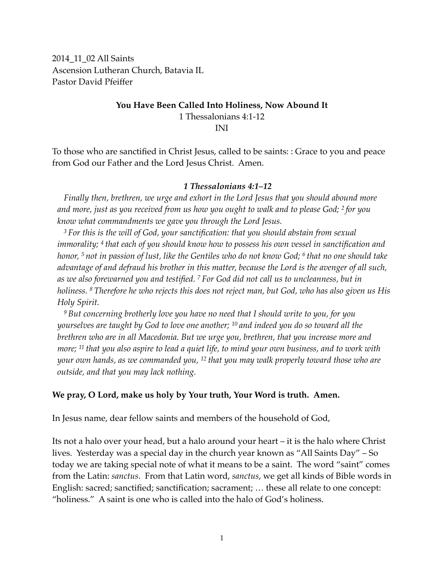2014\_11\_02 All Saints Ascension Lutheran Church, Batavia IL Pastor David Pfeiffer

### **You Have Been Called Into Holiness, Now Abound It** 1 Thessalonians 4:1-12 INI

To those who are sanctified in Christ Jesus, called to be saints: : Grace to you and peace from God our Father and the Lord Jesus Christ. Amen.

#### *1 Thessalonians 4:1–12*

*Finally then, brethren, we urge and exhort in the Lord Jesus that you should abound more and more, just as you received from us how you ought to walk and to please God; 2 for you know what commandments we gave you through the Lord Jesus.*

*<sup>3</sup> For this is the will of God, your sanctification: that you should abstain from sexual immorality; 4 that each of you should know how to possess his own vessel in sanctification and honor, 5 not in passion of lust, like the Gentiles who do not know God; 6 that no one should take advantage of and defraud his brother in this matter, because the Lord is the avenger of all such, as we also forewarned you and testified. 7 For God did not call us to uncleanness, but in holiness. 8 Therefore he who rejects this does not reject man, but God, who has also given us His Holy Spirit.*

*<sup>9</sup> But concerning brotherly love you have no need that I should write to you, for you yourselves are taught by God to love one another; 10 and indeed you do so toward all the brethren who are in all Macedonia. But we urge you, brethren, that you increase more and more; 11 that you also aspire to lead a quiet life, to mind your own business, and to work with your own hands, as we commanded you, 12 that you may walk properly toward those who are outside, and that you may lack nothing.*

### **We pray, O Lord, make us holy by Your truth, Your Word is truth. Amen.**

In Jesus name, dear fellow saints and members of the household of God,

Its not a halo over your head, but a halo around your heart – it is the halo where Christ lives. Yesterday was a special day in the church year known as "All Saints Day" – So today we are taking special note of what it means to be a saint. The word "saint" comes from the Latin: *sanctus*. From that Latin word, *sanctus*, we get all kinds of Bible words in English: sacred; sanctified; sanctification; sacrament; … these all relate to one concept: "holiness." A saint is one who is called into the halo of God's holiness.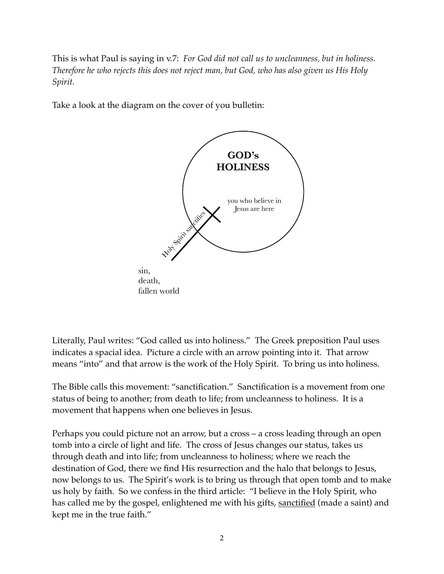This is what Paul is saying in v.7: *For God did not call us to uncleanness, but in holiness. Therefore he who rejects this does not reject man, but God, who has also given us His Holy Spirit.*

Take a look at the diagram on the cover of you bulletin:



Literally, Paul writes: "God called us into holiness." The Greek preposition Paul uses indicates a spacial idea. Picture a circle with an arrow pointing into it. That arrow means "into" and that arrow is the work of the Holy Spirit. To bring us into holiness.

The Bible calls this movement: "sanctification." Sanctification is a movement from one status of being to another; from death to life; from uncleanness to holiness. It is a movement that happens when one believes in Jesus.

Perhaps you could picture not an arrow, but a cross – a cross leading through an open tomb into a circle of light and life. The cross of Jesus changes our status, takes us through death and into life; from uncleanness to holiness; where we reach the destination of God, there we find His resurrection and the halo that belongs to Jesus, now belongs to us. The Spirit's work is to bring us through that open tomb and to make us holy by faith. So we confess in the third article: "I believe in the Holy Spirit, who has called me by the gospel, enlightened me with his gifts, sanctified (made a saint) and kept me in the true faith."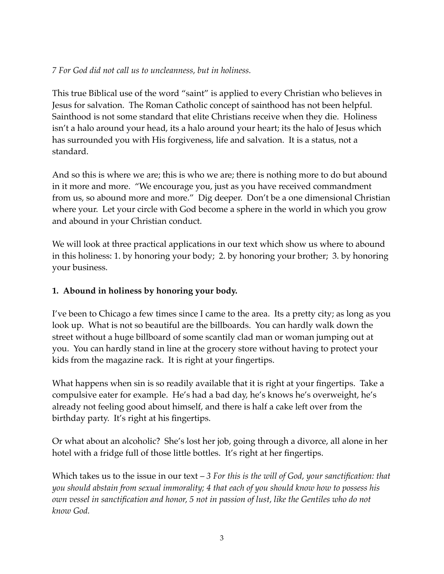## *7 For God did not call us to uncleanness, but in holiness.*

This true Biblical use of the word "saint" is applied to every Christian who believes in Jesus for salvation. The Roman Catholic concept of sainthood has not been helpful. Sainthood is not some standard that elite Christians receive when they die. Holiness isn't a halo around your head, its a halo around your heart; its the halo of Jesus which has surrounded you with His forgiveness, life and salvation. It is a status, not a standard.

And so this is where we are; this is who we are; there is nothing more to do but abound in it more and more. "We encourage you, just as you have received commandment from us, so abound more and more." Dig deeper. Don't be a one dimensional Christian where your. Let your circle with God become a sphere in the world in which you grow and abound in your Christian conduct.

We will look at three practical applications in our text which show us where to abound in this holiness: 1. by honoring your body; 2. by honoring your brother; 3. by honoring your business.

# **1. Abound in holiness by honoring your body.**

I've been to Chicago a few times since I came to the area. Its a pretty city; as long as you look up. What is not so beautiful are the billboards. You can hardly walk down the street without a huge billboard of some scantily clad man or woman jumping out at you. You can hardly stand in line at the grocery store without having to protect your kids from the magazine rack. It is right at your fingertips.

What happens when sin is so readily available that it is right at your fingertips. Take a compulsive eater for example. He's had a bad day, he's knows he's overweight, he's already not feeling good about himself, and there is half a cake left over from the birthday party. It's right at his fingertips.

Or what about an alcoholic? She's lost her job, going through a divorce, all alone in her hotel with a fridge full of those little bottles. It's right at her fingertips.

Which takes us to the issue in our text – *3 For this is the will of God, your sanctification: that you should abstain from sexual immorality; 4 that each of you should know how to possess his own vessel in sanctification and honor, 5 not in passion of lust, like the Gentiles who do not know God.*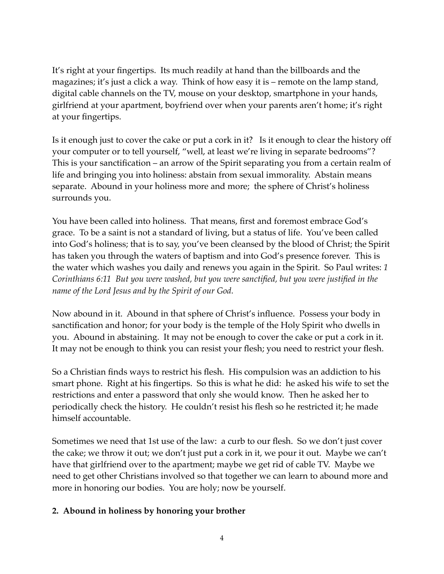It's right at your fingertips. Its much readily at hand than the billboards and the magazines; it's just a click a way. Think of how easy it is – remote on the lamp stand, digital cable channels on the TV, mouse on your desktop, smartphone in your hands, girlfriend at your apartment, boyfriend over when your parents aren't home; it's right at your fingertips.

Is it enough just to cover the cake or put a cork in it? Is it enough to clear the history off your computer or to tell yourself, "well, at least we're living in separate bedrooms"? This is your sanctification – an arrow of the Spirit separating you from a certain realm of life and bringing you into holiness: abstain from sexual immorality. Abstain means separate. Abound in your holiness more and more; the sphere of Christ's holiness surrounds you.

You have been called into holiness. That means, first and foremost embrace God's grace. To be a saint is not a standard of living, but a status of life. You've been called into God's holiness; that is to say, you've been cleansed by the blood of Christ; the Spirit has taken you through the waters of baptism and into God's presence forever. This is the water which washes you daily and renews you again in the Spirit. So Paul writes: *1 Corinthians 6:11 But you were washed, but you were sanctified, but you were justified in the name of the Lord Jesus and by the Spirit of our God.* 

Now abound in it. Abound in that sphere of Christ's influence. Possess your body in sanctification and honor; for your body is the temple of the Holy Spirit who dwells in you. Abound in abstaining. It may not be enough to cover the cake or put a cork in it. It may not be enough to think you can resist your flesh; you need to restrict your flesh.

So a Christian finds ways to restrict his flesh. His compulsion was an addiction to his smart phone. Right at his fingertips. So this is what he did: he asked his wife to set the restrictions and enter a password that only she would know. Then he asked her to periodically check the history. He couldn't resist his flesh so he restricted it; he made himself accountable.

Sometimes we need that 1st use of the law: a curb to our flesh. So we don't just cover the cake; we throw it out; we don't just put a cork in it, we pour it out. Maybe we can't have that girlfriend over to the apartment; maybe we get rid of cable TV. Maybe we need to get other Christians involved so that together we can learn to abound more and more in honoring our bodies. You are holy; now be yourself.

## **2. Abound in holiness by honoring your brother**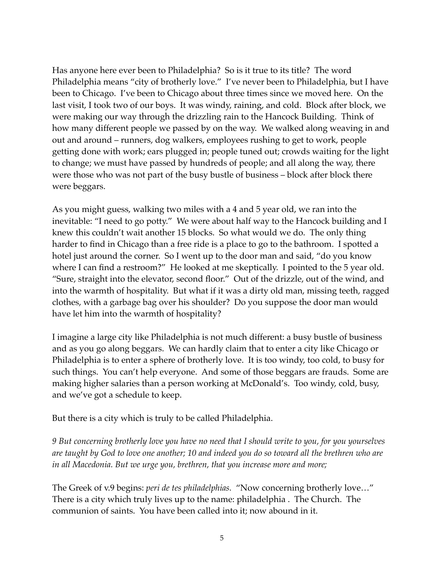Has anyone here ever been to Philadelphia? So is it true to its title? The word Philadelphia means "city of brotherly love." I've never been to Philadelphia, but I have been to Chicago. I've been to Chicago about three times since we moved here. On the last visit, I took two of our boys. It was windy, raining, and cold. Block after block, we were making our way through the drizzling rain to the Hancock Building. Think of how many different people we passed by on the way. We walked along weaving in and out and around – runners, dog walkers, employees rushing to get to work, people getting done with work; ears plugged in; people tuned out; crowds waiting for the light to change; we must have passed by hundreds of people; and all along the way, there were those who was not part of the busy bustle of business – block after block there were beggars.

As you might guess, walking two miles with a 4 and 5 year old, we ran into the inevitable: "I need to go potty." We were about half way to the Hancock building and I knew this couldn't wait another 15 blocks. So what would we do. The only thing harder to find in Chicago than a free ride is a place to go to the bathroom. I spotted a hotel just around the corner. So I went up to the door man and said, "do you know where I can find a restroom?" He looked at me skeptically. I pointed to the 5 year old. "Sure, straight into the elevator, second floor." Out of the drizzle, out of the wind, and into the warmth of hospitality. But what if it was a dirty old man, missing teeth, ragged clothes, with a garbage bag over his shoulder? Do you suppose the door man would have let him into the warmth of hospitality?

I imagine a large city like Philadelphia is not much different: a busy bustle of business and as you go along beggars. We can hardly claim that to enter a city like Chicago or Philadelphia is to enter a sphere of brotherly love. It is too windy, too cold, to busy for such things. You can't help everyone. And some of those beggars are frauds. Some are making higher salaries than a person working at McDonald's. Too windy, cold, busy, and we've got a schedule to keep.

But there is a city which is truly to be called Philadelphia.

*9 But concerning brotherly love you have no need that I should write to you, for you yourselves are taught by God to love one another; 10 and indeed you do so toward all the brethren who are in all Macedonia. But we urge you, brethren, that you increase more and more;*

The Greek of v.9 begins: *peri de tes philadelphias.* "Now concerning brotherly love…" There is a city which truly lives up to the name: philadelphia . The Church. The communion of saints. You have been called into it; now abound in it.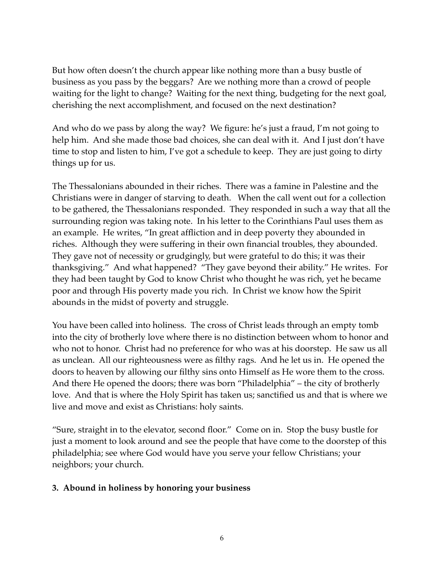But how often doesn't the church appear like nothing more than a busy bustle of business as you pass by the beggars? Are we nothing more than a crowd of people waiting for the light to change? Waiting for the next thing, budgeting for the next goal, cherishing the next accomplishment, and focused on the next destination?

And who do we pass by along the way? We figure: he's just a fraud, I'm not going to help him. And she made those bad choices, she can deal with it. And I just don't have time to stop and listen to him, I've got a schedule to keep. They are just going to dirty things up for us.

The Thessalonians abounded in their riches. There was a famine in Palestine and the Christians were in danger of starving to death. When the call went out for a collection to be gathered, the Thessalonians responded. They responded in such a way that all the surrounding region was taking note. In his letter to the Corinthians Paul uses them as an example. He writes, "In great affliction and in deep poverty they abounded in riches. Although they were suffering in their own financial troubles, they abounded. They gave not of necessity or grudgingly, but were grateful to do this; it was their thanksgiving." And what happened? "They gave beyond their ability." He writes. For they had been taught by God to know Christ who thought he was rich, yet he became poor and through His poverty made you rich. In Christ we know how the Spirit abounds in the midst of poverty and struggle.

You have been called into holiness. The cross of Christ leads through an empty tomb into the city of brotherly love where there is no distinction between whom to honor and who not to honor. Christ had no preference for who was at his doorstep. He saw us all as unclean. All our righteousness were as filthy rags. And he let us in. He opened the doors to heaven by allowing our filthy sins onto Himself as He wore them to the cross. And there He opened the doors; there was born "Philadelphia" – the city of brotherly love. And that is where the Holy Spirit has taken us; sanctified us and that is where we live and move and exist as Christians: holy saints.

"Sure, straight in to the elevator, second floor." Come on in. Stop the busy bustle for just a moment to look around and see the people that have come to the doorstep of this philadelphia; see where God would have you serve your fellow Christians; your neighbors; your church.

## **3. Abound in holiness by honoring your business**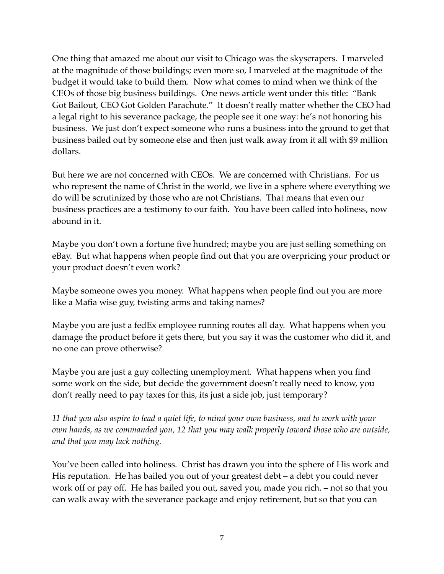One thing that amazed me about our visit to Chicago was the skyscrapers. I marveled at the magnitude of those buildings; even more so, I marveled at the magnitude of the budget it would take to build them. Now what comes to mind when we think of the CEOs of those big business buildings. One news article went under this title: "Bank Got Bailout, CEO Got Golden Parachute." It doesn't really matter whether the CEO had a legal right to his severance package, the people see it one way: he's not honoring his business. We just don't expect someone who runs a business into the ground to get that business bailed out by someone else and then just walk away from it all with \$9 million dollars.

But here we are not concerned with CEOs. We are concerned with Christians. For us who represent the name of Christ in the world, we live in a sphere where everything we do will be scrutinized by those who are not Christians. That means that even our business practices are a testimony to our faith. You have been called into holiness, now abound in it.

Maybe you don't own a fortune five hundred; maybe you are just selling something on eBay. But what happens when people find out that you are overpricing your product or your product doesn't even work?

Maybe someone owes you money. What happens when people find out you are more like a Mafia wise guy, twisting arms and taking names?

Maybe you are just a fedEx employee running routes all day. What happens when you damage the product before it gets there, but you say it was the customer who did it, and no one can prove otherwise?

Maybe you are just a guy collecting unemployment. What happens when you find some work on the side, but decide the government doesn't really need to know, you don't really need to pay taxes for this, its just a side job, just temporary?

*11 that you also aspire to lead a quiet life, to mind your own business, and to work with your own hands, as we commanded you, 12 that you may walk properly toward those who are outside, and that you may lack nothing.*

You've been called into holiness. Christ has drawn you into the sphere of His work and His reputation. He has bailed you out of your greatest debt – a debt you could never work off or pay off. He has bailed you out, saved you, made you rich. – not so that you can walk away with the severance package and enjoy retirement, but so that you can